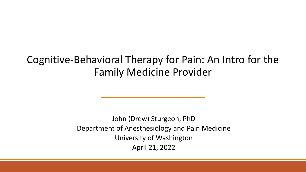#### Cognitive-Behavioral Therapy for Pain: An Intro for the Family Medicine Provider

John (Drew) Sturgeon, PhD Department of Anesthesiology and Pain Medicine University of Washington April 21, 2022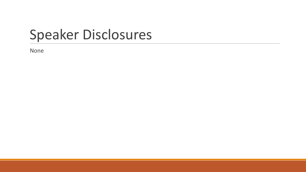#### Speaker Disclosures

None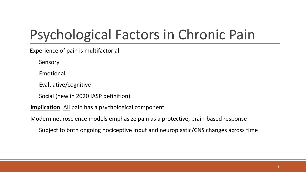## Psychological Factors in Chronic Pain

Experience of pain is multifactorial

Sensory

Emotional

Evaluative/cognitive

Social (new in 2020 IASP definition)

**Implication:** All pain has a psychological component

Modern neuroscience models emphasize pain as a protective, brain-based response

Subject to both ongoing nociceptive input and neuroplastic/CNS changes across time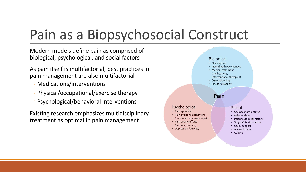## Pain as a Biopsychosocial Construct

Modern models define pain as comprised of biological, psychological, and social factors

As pain itself is multifactorial, best practices in pain management are also multifactorial

- Medications/interventions
- Physical/occupational/exercise therapy
- Psychological/behavioral interventions

Existing research emphasizes multidisciplinary treatment as optimal in pain management

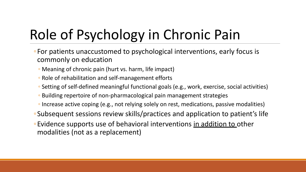# Role of Psychology in Chronic Pain

- ◦For patients unaccustomed to psychological interventions, early focus is commonly on education
	- Meaning of chronic pain (hurt vs. harm, life impact)
	- Role of rehabilitation and self-management efforts
	- Setting of self-defined meaningful functional goals (e.g., work, exercise, social activities)
	- Building repertoire of non-pharmacological pain management strategies
	- Increase active coping (e.g., not relying solely on rest, medications, passive modalities)
- ◦Subsequent sessions review skills/practices and application to patient's life
- ◦Evidence supports use of behavioral interventions in addition to other modalities (not as a replacement)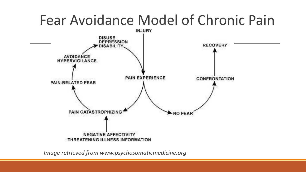# Fear Avoidance Model of Chronic Pain



*Image retrieved from www.psychosomaticmedicine.org*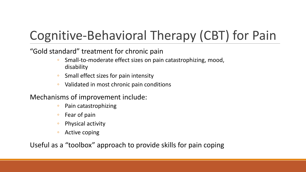### Cognitive-Behavioral Therapy (CBT) for Pain

"Gold standard" treatment for chronic pain

- Small-to-moderate effect sizes on pain catastrophizing, mood, disability
- Small effect sizes for pain intensity
- Validated in most chronic pain conditions

Mechanisms of improvement include:

- Pain catastrophizing
- Fear of pain
- Physical activity
- Active coping

Useful as a "toolbox" approach to provide skills for pain coping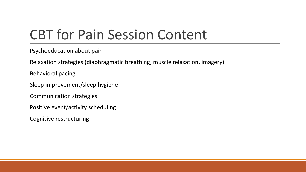## CBT for Pain Session Content

Psychoeducation about pain

Relaxation strategies (diaphragmatic breathing, muscle relaxation, imagery)

Behavioral pacing

Sleep improvement/sleep hygiene

Communication strategies

Positive event/activity scheduling

Cognitive restructuring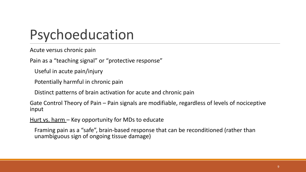### Psychoeducation

Acute versus chronic pain

Pain as a "teaching signal" or "protective response"

Useful in acute pain/injury

Potentially harmful in chronic pain

Distinct patterns of brain activation for acute and chronic pain

Gate Control Theory of Pain – Pain signals are modifiable, regardless of levels of nociceptive input

Hurt vs. harm – Key opportunity for MDs to educate

Framing pain as a "safe", brain-based response that can be reconditioned (rather than unambiguous sign of ongoing tissue damage)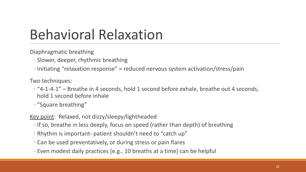## Behavioral Relaxation

Diaphragmatic breathing

- Slower, deeper, rhythmic breathing
- Initiating "relaxation response" = reduced nervous system activation/stress/pain

Two techniques:

- "4-1-4-1" Breathe in 4 seconds, hold 1 second before exhale, breathe out 4 seconds, hold 1 second before inhale
- "Square breathing"

Key point: Relaxed, not dizzy/sleepy/lightheaded

- If so, breathe in less deeply, focus on speed (rather than depth) of breathing
- Rhythm is important- patient shouldn't need to "catch up"
- Can be used preventatively, or during stress or pain flares
- Even modest daily practices (e.g., 10 breaths at a time) can be helpful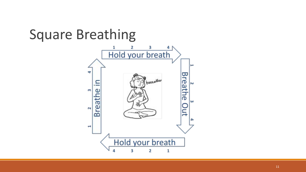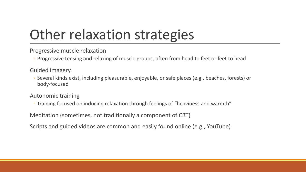## Other relaxation strategies

Progressive muscle relaxation

◦ Progressive tensing and relaxing of muscle groups, often from head to feet or feet to head

Guided imagery

◦ Several kinds exist, including pleasurable, enjoyable, or safe places (e.g., beaches, forests) or body-focused

Autonomic training

◦ Training focused on inducing relaxation through feelings of "heaviness and warmth"

Meditation (sometimes, not traditionally a component of CBT)

Scripts and guided videos are common and easily found online (e.g., YouTube)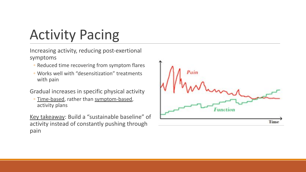# Activity Pacing

Increasing activity, reducing post-exertional symptoms

- Reduced time recovering from symptom flares
- Works well with "desensitization" treatments with pain

Gradual increases in specific physical activity

◦ Time-based, rather than symptom-based, activity plans

Key takeaway: Build a "sustainable baseline" of activity instead of constantly pushing through pain

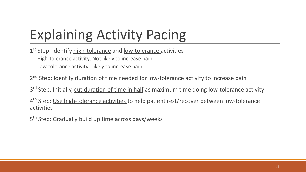## Explaining Activity Pacing

1<sup>st</sup> Step: Identify high-tolerance and low-tolerance activities

- High-tolerance activity: Not likely to increase pain
- Low-tolerance activity: Likely to increase pain

2<sup>nd</sup> Step: Identify **duration of time** needed for low-tolerance activity to increase pain

3<sup>rd</sup> Step: Initially, cut duration of time in half as maximum time doing low-tolerance activity

4<sup>th</sup> Step: <u>Use high-tolerance activities t</u>o help patient rest/recover between low-tolerance activities

5<sup>th</sup> Step: Gradually build up time across days/weeks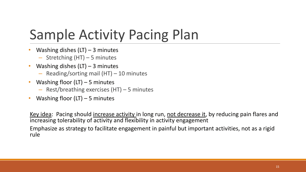## Sample Activity Pacing Plan

- Washing dishes  $(LT) 3$  minutes
	- Stretching (HT) 5 minutes
- Washing dishes  $(LT)$  3 minutes
	- Reading/sorting mail (HT) 10 minutes
- Washing floor  $(LT)$  5 minutes
	- Rest/breathing exercises (HT) 5 minutes
- Washing floor  $(LT)$  5 minutes

Key idea: Pacing should increase activity in long run, not decrease it, by reducing pain flares and increasing tolerability of activity and flexibility in activity engagement Emphasize as strategy to facilitate engagement in painful but important activities, not as a rigid rule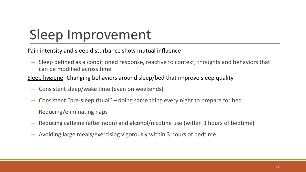## Sleep Improvement

Pain intensity and sleep disturbance show mutual influence

– Sleep defined as a conditioned response, reactive to context, thoughts and behaviors that can be modified across time

Sleep hygiene- Changing behaviors around sleep/bed that improve sleep quality

- Consistent sleep/wake time (even on weekends)
- Consistent "pre-sleep ritual" doing same thing every night to prepare for bed
- Reducing/eliminating naps
- Reducing caffeine (after noon) and alcohol/nicotine use (within 3 hours of bedtime)
- Avoiding large meals/exercising vigorously within 3 hours of bedtime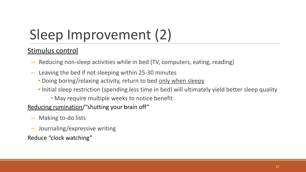# Sleep Improvement (2)

#### Stimulus control

- Reducing non-sleep activities while in bed (TV, computers, eating, reading)
- Leaving the bed if not sleeping within 25-30 minutes
	- Doing boring/relaxing activity, return to bed only when sleepy
	- Initial sleep restriction (spending less time in bed) will ultimately yield better sleep quality

• May require multiple weeks to notice benefit

Reducing rumination/"shutting your brain off"

- Making to-do lists
- Journaling/expressive writing

Reduce "clock watching"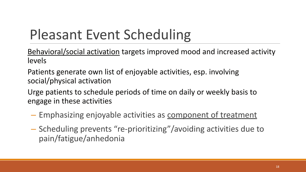## Pleasant Event Scheduling

Behavioral/social activation targets improved mood and increased activity levels

Patients generate own list of enjoyable activities, esp. involving social/physical activation

Urge patients to schedule periods of time on daily or weekly basis to engage in these activities

- Emphasizing enjoyable activities as component of treatment
- Scheduling prevents "re-prioritizing"/avoiding activities due to pain/fatigue/anhedonia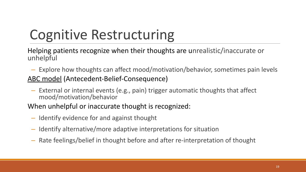## Cognitive Restructuring

Helping patients recognize when their thoughts are unrealistic/inaccurate or unhelpful

- Explore how thoughts can affect mood/motivation/behavior, sometimes pain levels ABC model (Antecedent-Belief-Consequence)
- External or internal events (e.g., pain) trigger automatic thoughts that affect mood/motivation/behavior

When unhelpful or inaccurate thought is recognized:

- Identify evidence for and against thought
- Identify alternative/more adaptive interpretations for situation
- Rate feelings/belief in thought before and after re-interpretation of thought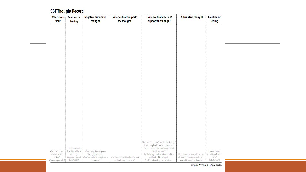#### **CBT Thought Record**

| Where were<br>you?                            | <b>Emotion or</b><br>feeling                    | <b>Negative automatic</b><br>thought                              | <b>Evidence that supports</b><br>the thought                     | <b>Evidence that does not</b><br>support the thought                                                     | <b>Alternative thought</b>                                                                           | <b>Emotion or</b><br>feeling                 |  |
|-----------------------------------------------|-------------------------------------------------|-------------------------------------------------------------------|------------------------------------------------------------------|----------------------------------------------------------------------------------------------------------|------------------------------------------------------------------------------------------------------|----------------------------------------------|--|
|                                               |                                                 |                                                                   |                                                                  |                                                                                                          |                                                                                                      |                                              |  |
|                                               |                                                 |                                                                   |                                                                  |                                                                                                          |                                                                                                      |                                              |  |
|                                               |                                                 |                                                                   |                                                                  |                                                                                                          |                                                                                                      |                                              |  |
|                                               |                                                 |                                                                   |                                                                  |                                                                                                          |                                                                                                      |                                              |  |
|                                               |                                                 |                                                                   |                                                                  |                                                                                                          |                                                                                                      |                                              |  |
|                                               |                                                 |                                                                   |                                                                  |                                                                                                          |                                                                                                      |                                              |  |
|                                               |                                                 |                                                                   |                                                                  |                                                                                                          |                                                                                                      |                                              |  |
|                                               |                                                 |                                                                   |                                                                  |                                                                                                          |                                                                                                      |                                              |  |
|                                               |                                                 |                                                                   |                                                                  |                                                                                                          |                                                                                                      |                                              |  |
|                                               |                                                 |                                                                   |                                                                  |                                                                                                          |                                                                                                      |                                              |  |
|                                               |                                                 |                                                                   |                                                                  |                                                                                                          |                                                                                                      |                                              |  |
|                                               |                                                 |                                                                   |                                                                  |                                                                                                          |                                                                                                      |                                              |  |
|                                               |                                                 |                                                                   |                                                                  | What experiences indicate that this thought                                                              |                                                                                                      |                                              |  |
| Where were you?                               | Emotions can be<br>described with one           | What thoughts were going                                          |                                                                  | Is not completely true all of the time?<br>If my best friend had this thought what<br>would I tell them? |                                                                                                      | How do you feel                              |  |
| What were you<br>doing?<br>Who were you with? | word.E.g.:<br>angry, sad, scared<br>Rate 0-100% | through your mind?<br>What memories or images were<br>In my mind? | What facts support the truthfulness<br>of this thought or image? | Are there any small experiences which<br>contradict this thought?<br>Could I be jumping to conclusions?  | Write a new thought which takes<br>into account the evidence for and<br>against the original thought | about the situation<br>now?<br>Rate 0 - 100% |  |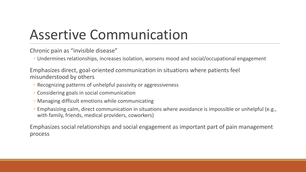## Assertive Communication

Chronic pain as "invisible disease"

◦ Undermines relationships, increases isolation, worsens mood and social/occupational engagement

Emphasizes direct, goal-oriented communication in situations where patients feel misunderstood by others

- Recognizing patterns of unhelpful passivity or aggressiveness
- Considering goals in social communication
- Managing difficult emotions while communicating
- Emphasizing calm, direct communication in situations where avoidance is impossible or unhelpful (e.g., with family, friends, medical providers, coworkers)

Emphasizes social relationships and social engagement as important part of pain management process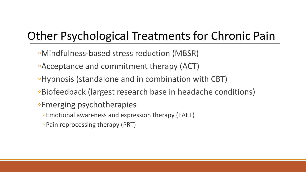#### Other Psychological Treatments for Chronic Pain

- ◦Mindfulness-based stress reduction (MBSR)
- ◦Acceptance and commitment therapy (ACT)
- ◦Hypnosis (standalone and in combination with CBT)
- ◦Biofeedback (largest research base in headache conditions)
- ◦Emerging psychotherapies
	- Emotional awareness and expression therapy (EAET)
	- Pain reprocessing therapy (PRT)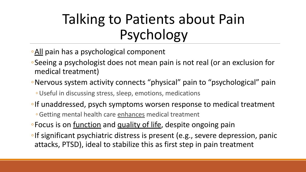## Talking to Patients about Pain Psychology

- ◦All pain has a psychological component
- ◦Seeing a psychologist does not mean pain is not real (or an exclusion for medical treatment)
- Nervous system activity connects "physical" pain to "psychological" pain
	- ◦Useful in discussing stress, sleep, emotions, medications
- ◦If unaddressed, psych symptoms worsen response to medical treatment
	- ◦Getting mental health care enhances medical treatment
- ◦Focus is on function and quality of life, despite ongoing pain
- ◦If significant psychiatric distress is present (e.g., severe depression, panic attacks, PTSD), ideal to stabilize this as first step in pain treatment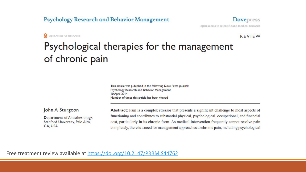#### **Psychology Research and Behavior Management**

Open Access Full Text Article

**Dovepress** open access to scientific and medical research

**REVIEW** 

#### Psychological therapies for the management of chronic pain

This article was published in the following Dove Press journal: Psychology Research and Behavior Management **10 April 2014** Number of times this article has been viewed

John A Sturgeon

Department of Anesthesiology, Stanford University, Palo Alto, CA, USA

Abstract: Pain is a complex stressor that presents a significant challenge to most aspects of functioning and contributes to substantial physical, psychological, occupational, and financial cost, particularly in its chronic form. As medical intervention frequently cannot resolve pain completely, there is a need for management approaches to chronic pain, including psychological

Free treatment review available at<https://doi.org/10.2147/PRBM.S44762>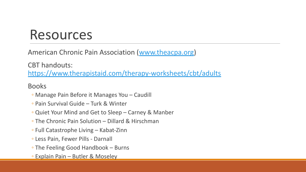#### Resources

American Chronic Pain Association ([www.theacpa.org](http://www.theacpa.org/))

CBT handouts: <https://www.therapistaid.com/therapy-worksheets/cbt/adults>

Books

- Manage Pain Before it Manages You Caudill
- Pain Survival Guide Turk & Winter
- Quiet Your Mind and Get to Sleep Carney & Manber
- The Chronic Pain Solution Dillard & Hirschman
- Full Catastrophe Living Kabat-Zinn
- Less Pain, Fewer Pills Darnall
- The Feeling Good Handbook Burns
- Explain Pain Butler & Moseley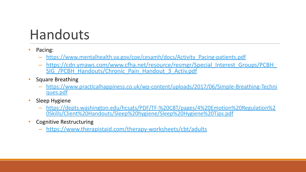### Handouts

- Pacing:
	- [https://www.mentalhealth.va.gov/coe/cesamh/docs/Activity\\_Pacing-patients.pdf](https://www.mentalhealth.va.gov/coe/cesamh/docs/Activity_Pacing-patients.pdf)
	- [https://cdn.ymaws.com/www.cfha.net/resource/resmgr/Special\\_Interest\\_Groups/PCBH\\_](https://cdn.ymaws.com/www.cfha.net/resource/resmgr/Special_Interest_Groups/PCBH_SIG_/PCBH_Handouts/Chronic_Pain_Handout_3_Activ.pdf) SIG /PCBH\_Handouts/Chronic\_Pain\_Handout\_3\_Activ.pdf
- Square Breathing
	- [https://www.practicalhappiness.co.uk/wp-content/uploads/2017/06/Simple-Breathing-Techni](https://www.practicalhappiness.co.uk/wp-content/uploads/2017/06/Simple-Breathing-Techniques.pdf) [ques.pdf](https://www.practicalhappiness.co.uk/wp-content/uploads/2017/06/Simple-Breathing-Techniques.pdf)
- Sleep Hygiene
	- [https://depts.washington.edu/hcsats/PDF/TF-%20CBT/pages/4%20Emotion%20Regulation%2](https://depts.washington.edu/hcsats/PDF/TF-%20CBT/pages/4%20Emotion%20Regulation%20Skills/Client%20Handouts/Sleep%20hygiene/Sleep%20Hygiene%20Tips.pdf) [0Skills/Client%20Handouts/Sleep%20hygiene/Sleep%20Hygiene%20Tips.pdf](https://depts.washington.edu/hcsats/PDF/TF-%20CBT/pages/4%20Emotion%20Regulation%20Skills/Client%20Handouts/Sleep%20hygiene/Sleep%20Hygiene%20Tips.pdf)
- Cognitive Restructuring
	- <https://www.therapistaid.com/therapy-worksheets/cbt/adults>